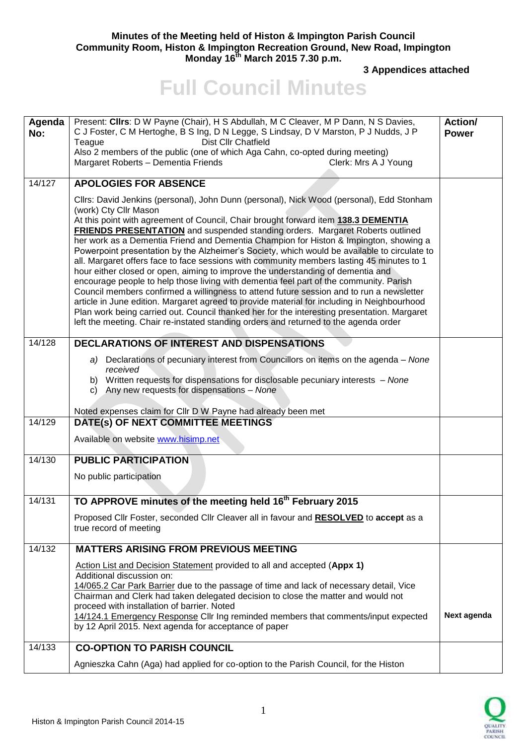## **Minutes of the Meeting held of Histon & Impington Parish Council Community Room, Histon & Impington Recreation Ground, New Road, Impington Monday 16th March 2015 7.30 p.m.**

**3 Appendices attached** 

## **Full Council Minutes**

| Agenda<br>No: | Present: Clirs: D W Payne (Chair), H S Abdullah, M C Cleaver, M P Dann, N S Davies,<br>C J Foster, C M Hertoghe, B S Ing, D N Legge, S Lindsay, D V Marston, P J Nudds, J P<br>Dist Cllr Chatfield<br>Teague<br>Also 2 members of the public (one of which Aga Cahn, co-opted during meeting)<br>Margaret Roberts - Dementia Friends<br>Clerk: Mrs A J Young                                                                                                                                                                                                                                                                                                                                                                                                                                                                                                                                                                                                                                                                                                                                                                                         | Action/<br><b>Power</b> |
|---------------|------------------------------------------------------------------------------------------------------------------------------------------------------------------------------------------------------------------------------------------------------------------------------------------------------------------------------------------------------------------------------------------------------------------------------------------------------------------------------------------------------------------------------------------------------------------------------------------------------------------------------------------------------------------------------------------------------------------------------------------------------------------------------------------------------------------------------------------------------------------------------------------------------------------------------------------------------------------------------------------------------------------------------------------------------------------------------------------------------------------------------------------------------|-------------------------|
| 14/127        | <b>APOLOGIES FOR ABSENCE</b>                                                                                                                                                                                                                                                                                                                                                                                                                                                                                                                                                                                                                                                                                                                                                                                                                                                                                                                                                                                                                                                                                                                         |                         |
|               | Cllrs: David Jenkins (personal), John Dunn (personal), Nick Wood (personal), Edd Stonham<br>(work) Cty Cllr Mason<br>At this point with agreement of Council, Chair brought forward item 138.3 DEMENTIA<br><b>FRIENDS PRESENTATION</b> and suspended standing orders. Margaret Roberts outlined<br>her work as a Dementia Friend and Dementia Champion for Histon & Impington, showing a<br>Powerpoint presentation by the Alzheimer's Society, which would be available to circulate to<br>all. Margaret offers face to face sessions with community members lasting 45 minutes to 1<br>hour either closed or open, aiming to improve the understanding of dementia and<br>encourage people to help those living with dementia feel part of the community. Parish<br>Council members confirmed a willingness to attend future session and to run a newsletter<br>article in June edition. Margaret agreed to provide material for including in Neighbourhood<br>Plan work being carried out. Council thanked her for the interesting presentation. Margaret<br>left the meeting. Chair re-instated standing orders and returned to the agenda order |                         |
| 14/128        | DECLARATIONS OF INTEREST AND DISPENSATIONS                                                                                                                                                                                                                                                                                                                                                                                                                                                                                                                                                                                                                                                                                                                                                                                                                                                                                                                                                                                                                                                                                                           |                         |
|               | Declarations of pecuniary interest from Councillors on items on the agenda - None<br>a)<br>received<br>b) Written requests for dispensations for disclosable pecuniary interests - None<br>Any new requests for dispensations - None<br>C)                                                                                                                                                                                                                                                                                                                                                                                                                                                                                                                                                                                                                                                                                                                                                                                                                                                                                                           |                         |
| 14/129        | Noted expenses claim for Cllr D W Payne had already been met<br>DATE(s) OF NEXT COMMITTEE MEETINGS                                                                                                                                                                                                                                                                                                                                                                                                                                                                                                                                                                                                                                                                                                                                                                                                                                                                                                                                                                                                                                                   |                         |
|               | Available on website www.hisimp.net                                                                                                                                                                                                                                                                                                                                                                                                                                                                                                                                                                                                                                                                                                                                                                                                                                                                                                                                                                                                                                                                                                                  |                         |
| 14/130        | <b>PUBLIC PARTICIPATION</b>                                                                                                                                                                                                                                                                                                                                                                                                                                                                                                                                                                                                                                                                                                                                                                                                                                                                                                                                                                                                                                                                                                                          |                         |
|               | No public participation                                                                                                                                                                                                                                                                                                                                                                                                                                                                                                                                                                                                                                                                                                                                                                                                                                                                                                                                                                                                                                                                                                                              |                         |
| 14/131        | TO APPROVE minutes of the meeting held 16 <sup>th</sup> February 2015                                                                                                                                                                                                                                                                                                                                                                                                                                                                                                                                                                                                                                                                                                                                                                                                                                                                                                                                                                                                                                                                                |                         |
|               | Proposed Cllr Foster, seconded Cllr Cleaver all in favour and RESOLVED to accept as a<br>true record of meeting                                                                                                                                                                                                                                                                                                                                                                                                                                                                                                                                                                                                                                                                                                                                                                                                                                                                                                                                                                                                                                      |                         |
| 14/132        | <b>MATTERS ARISING FROM PREVIOUS MEETING</b>                                                                                                                                                                                                                                                                                                                                                                                                                                                                                                                                                                                                                                                                                                                                                                                                                                                                                                                                                                                                                                                                                                         |                         |
|               | Action List and Decision Statement provided to all and accepted (Appx 1)<br>Additional discussion on:<br>14/065.2 Car Park Barrier due to the passage of time and lack of necessary detail, Vice<br>Chairman and Clerk had taken delegated decision to close the matter and would not<br>proceed with installation of barrier. Noted<br>14/124.1 Emergency Response Cllr Ing reminded members that comments/input expected<br>by 12 April 2015. Next agenda for acceptance of paper                                                                                                                                                                                                                                                                                                                                                                                                                                                                                                                                                                                                                                                                  | Next agenda             |
| 14/133        | <b>CO-OPTION TO PARISH COUNCIL</b>                                                                                                                                                                                                                                                                                                                                                                                                                                                                                                                                                                                                                                                                                                                                                                                                                                                                                                                                                                                                                                                                                                                   |                         |
|               | Agnieszka Cahn (Aga) had applied for co-option to the Parish Council, for the Histon                                                                                                                                                                                                                                                                                                                                                                                                                                                                                                                                                                                                                                                                                                                                                                                                                                                                                                                                                                                                                                                                 |                         |

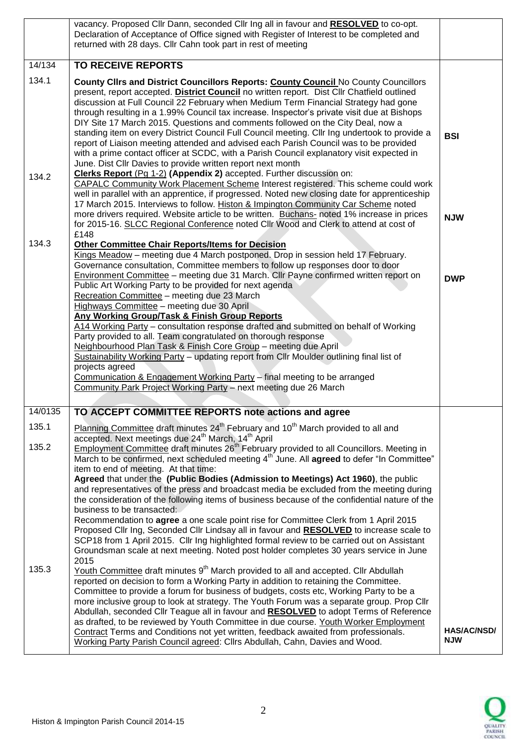|         | vacancy. Proposed Cllr Dann, seconded Cllr Ing all in favour and RESOLVED to co-opt.<br>Declaration of Acceptance of Office signed with Register of Interest to be completed and<br>returned with 28 days. Cllr Cahn took part in rest of meeting                                                                                                                                                                                                                                                                                                                                                                                                                                                                                                                                                                |                                  |
|---------|------------------------------------------------------------------------------------------------------------------------------------------------------------------------------------------------------------------------------------------------------------------------------------------------------------------------------------------------------------------------------------------------------------------------------------------------------------------------------------------------------------------------------------------------------------------------------------------------------------------------------------------------------------------------------------------------------------------------------------------------------------------------------------------------------------------|----------------------------------|
| 14/134  | <b>TO RECEIVE REPORTS</b>                                                                                                                                                                                                                                                                                                                                                                                                                                                                                                                                                                                                                                                                                                                                                                                        |                                  |
| 134.1   | County Clirs and District Councillors Reports: County Council No County Councillors<br>present, report accepted. District Council no written report. Dist Cllr Chatfield outlined<br>discussion at Full Council 22 February when Medium Term Financial Strategy had gone<br>through resulting in a 1.99% Council tax increase. Inspector's private visit due at Bishops<br>DIY Site 17 March 2015. Questions and comments followed on the City Deal, now a<br>standing item on every District Council Full Council meeting. Cllr Ing undertook to provide a<br>report of Liaison meeting attended and advised each Parish Council was to be provided<br>with a prime contact officer at SCDC, with a Parish Council explanatory visit expected in<br>June. Dist Cllr Davies to provide written report next month | <b>BSI</b>                       |
| 134.2   | Clerks Report (Pg 1-2) (Appendix 2) accepted. Further discussion on:<br>CAPALC Community Work Placement Scheme Interest registered. This scheme could work<br>well in parallel with an apprentice, if progressed. Noted new closing date for apprenticeship<br>17 March 2015. Interviews to follow. Histon & Impington Community Car Scheme noted<br>more drivers required. Website article to be written. Buchans- noted 1% increase in prices<br>for 2015-16. SLCC Regional Conference noted Cllr Wood and Clerk to attend at cost of                                                                                                                                                                                                                                                                          | <b>NJW</b>                       |
| 134.3   | £148<br><b>Other Committee Chair Reports/Items for Decision</b><br>Kings Meadow - meeting due 4 March postponed. Drop in session held 17 February.<br>Governance consultation, Committee members to follow up responses door to door                                                                                                                                                                                                                                                                                                                                                                                                                                                                                                                                                                             |                                  |
|         | <b>Environment Committee</b> – meeting due 31 March. Cllr Payne confirmed written report on<br>Public Art Working Party to be provided for next agenda<br>Recreation Committee - meeting due 23 March<br>Highways Committee - meeting due 30 April                                                                                                                                                                                                                                                                                                                                                                                                                                                                                                                                                               | <b>DWP</b>                       |
|         | Any Working Group/Task & Finish Group Reports<br>A14 Working Party - consultation response drafted and submitted on behalf of Working<br>Party provided to all. Team congratulated on thorough response                                                                                                                                                                                                                                                                                                                                                                                                                                                                                                                                                                                                          |                                  |
|         | Neighbourhood Plan Task & Finish Core Group - meeting due April<br>Sustainability Working Party - updating report from Cllr Moulder outlining final list of<br>projects agreed                                                                                                                                                                                                                                                                                                                                                                                                                                                                                                                                                                                                                                   |                                  |
|         | Communication & Engagement Working Party - final meeting to be arranged<br>Community Park Project Working Party - next meeting due 26 March                                                                                                                                                                                                                                                                                                                                                                                                                                                                                                                                                                                                                                                                      |                                  |
|         |                                                                                                                                                                                                                                                                                                                                                                                                                                                                                                                                                                                                                                                                                                                                                                                                                  |                                  |
| 14/0135 | TO ACCEPT COMMITTEE REPORTS note actions and agree                                                                                                                                                                                                                                                                                                                                                                                                                                                                                                                                                                                                                                                                                                                                                               |                                  |
| 135.1   | Planning Committee draft minutes 24 <sup>th</sup> February and 10 <sup>th</sup> March provided to all and<br>accepted. Next meetings due 24 <sup>th</sup> March, 14 <sup>th</sup> April                                                                                                                                                                                                                                                                                                                                                                                                                                                                                                                                                                                                                          |                                  |
| 135.2   | Employment Committee draft minutes 26 <sup>th</sup> February provided to all Councillors. Meeting in<br>March to be confirmed, next scheduled meeting 4 <sup>th</sup> June. All <b>agreed</b> to defer "In Committee"<br>item to end of meeting. At that time:                                                                                                                                                                                                                                                                                                                                                                                                                                                                                                                                                   |                                  |
|         | Agreed that under the (Public Bodies (Admission to Meetings) Act 1960), the public<br>and representatives of the press and broadcast media be excluded from the meeting during                                                                                                                                                                                                                                                                                                                                                                                                                                                                                                                                                                                                                                   |                                  |
|         | the consideration of the following items of business because of the confidential nature of the<br>business to be transacted:<br>Recommendation to <b>agree</b> a one scale point rise for Committee Clerk from 1 April 2015                                                                                                                                                                                                                                                                                                                                                                                                                                                                                                                                                                                      |                                  |
|         | Proposed Cllr Ing, Seconded Cllr Lindsay all in favour and RESOLVED to increase scale to<br>SCP18 from 1 April 2015. Cllr Ing highlighted formal review to be carried out on Assistant<br>Groundsman scale at next meeting. Noted post holder completes 30 years service in June                                                                                                                                                                                                                                                                                                                                                                                                                                                                                                                                 |                                  |
| 135.3   | 2015<br>Youth Committee draft minutes 9 <sup>th</sup> March provided to all and accepted. Cllr Abdullah<br>reported on decision to form a Working Party in addition to retaining the Committee.<br>Committee to provide a forum for business of budgets, costs etc, Working Party to be a<br>more inclusive group to look at strategy. The Youth Forum was a separate group. Prop Cllr<br>Abdullah, seconded Cllr Teague all in favour and RESOLVED to adopt Terms of Reference<br>as drafted, to be reviewed by Youth Committee in due course. Youth Worker Employment                                                                                                                                                                                                                                          |                                  |
|         | Contract Terms and Conditions not yet written, feedback awaited from professionals.<br>Working Party Parish Council agreed: Cllrs Abdullah, Cahn, Davies and Wood.                                                                                                                                                                                                                                                                                                                                                                                                                                                                                                                                                                                                                                               | <b>HAS/AC/NSD/</b><br><b>NJW</b> |

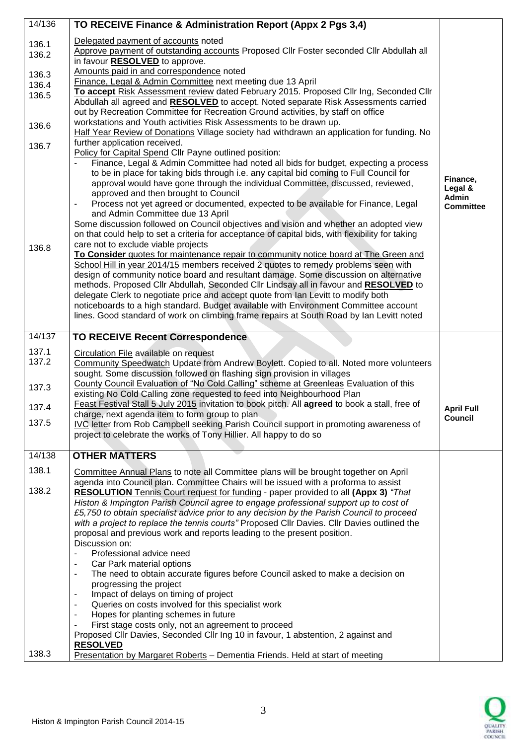| 14/136 | TO RECEIVE Finance & Administration Report (Appx 2 Pgs 3,4)                                                                                                                   |                   |
|--------|-------------------------------------------------------------------------------------------------------------------------------------------------------------------------------|-------------------|
| 136.1  | Delegated payment of accounts noted                                                                                                                                           |                   |
| 136.2  | Approve payment of outstanding accounts Proposed Cllr Foster seconded Cllr Abdullah all                                                                                       |                   |
|        | in favour <b>RESOLVED</b> to approve.                                                                                                                                         |                   |
| 136.3  | Amounts paid in and correspondence noted                                                                                                                                      |                   |
| 136.4  | Finance, Legal & Admin Committee next meeting due 13 April                                                                                                                    |                   |
| 136.5  | To accept Risk Assessment review dated February 2015. Proposed Cllr Ing, Seconded Cllr                                                                                        |                   |
|        | Abdullah all agreed and RESOLVED to accept. Noted separate Risk Assessments carried                                                                                           |                   |
|        | out by Recreation Committee for Recreation Ground activities, by staff on office                                                                                              |                   |
| 136.6  | workstations and Youth activities Risk Assessments to be drawn up.                                                                                                            |                   |
|        | Half Year Review of Donations Village society had withdrawn an application for funding. No                                                                                    |                   |
| 136.7  | further application received.                                                                                                                                                 |                   |
|        | Policy for Capital Spend Cllr Payne outlined position:                                                                                                                        |                   |
|        | Finance, Legal & Admin Committee had noted all bids for budget, expecting a process<br>to be in place for taking bids through i.e. any capital bid coming to Full Council for |                   |
|        | approval would have gone through the individual Committee, discussed, reviewed,                                                                                               | Finance,          |
|        | approved and then brought to Council                                                                                                                                          | Legal &           |
|        | Process not yet agreed or documented, expected to be available for Finance, Legal<br>$\qquad \qquad \blacksquare$                                                             | <b>Admin</b>      |
|        | and Admin Committee due 13 April                                                                                                                                              | <b>Committee</b>  |
|        | Some discussion followed on Council objectives and vision and whether an adopted view                                                                                         |                   |
|        | on that could help to set a criteria for acceptance of capital bids, with flexibility for taking                                                                              |                   |
| 136.8  | care not to exclude viable projects                                                                                                                                           |                   |
|        | To Consider quotes for maintenance repair to community notice board at The Green and                                                                                          |                   |
|        | School Hill in year 2014/15 members received 2 quotes to remedy problems seen with                                                                                            |                   |
|        | design of community notice board and resultant damage. Some discussion on alternative                                                                                         |                   |
|        | methods. Proposed Cllr Abdullah, Seconded Cllr Lindsay all in favour and RESOLVED to                                                                                          |                   |
|        | delegate Clerk to negotiate price and accept quote from Ian Levitt to modify both                                                                                             |                   |
|        | noticeboards to a high standard. Budget available with Environment Committee account                                                                                          |                   |
|        | lines. Good standard of work on climbing frame repairs at South Road by Ian Levitt noted                                                                                      |                   |
| 14/137 | <b>TO RECEIVE Recent Correspondence</b>                                                                                                                                       |                   |
| 137.1  |                                                                                                                                                                               |                   |
| 137.2  | Circulation File available on request                                                                                                                                         |                   |
|        | Community Speedwatch Update from Andrew Boylett. Copied to all. Noted more volunteers<br>sought. Some discussion followed on flashing sign provision in villages              |                   |
|        | County Council Evaluation of "No Cold Calling" scheme at Greenleas Evaluation of this                                                                                         |                   |
| 137.3  | existing No Cold Calling zone requested to feed into Neighbourhood Plan                                                                                                       |                   |
|        | Feast Festival Stall 5 July 2015 invitation to book pitch. All agreed to book a stall, free of                                                                                |                   |
| 137.4  | charge, next agenda item to form group to plan                                                                                                                                | <b>April Full</b> |
| 137.5  | IVC letter from Rob Campbell seeking Parish Council support in promoting awareness of                                                                                         | Council           |
|        | project to celebrate the works of Tony Hillier. All happy to do so                                                                                                            |                   |
|        |                                                                                                                                                                               |                   |
| 14/138 | <b>OTHER MATTERS</b>                                                                                                                                                          |                   |
| 138.1  | Committee Annual Plans to note all Committee plans will be brought together on April                                                                                          |                   |
|        | agenda into Council plan. Committee Chairs will be issued with a proforma to assist                                                                                           |                   |
| 138.2  | <b>RESOLUTION</b> Tennis Court request for funding - paper provided to all (Appx 3) "That                                                                                     |                   |
|        | Histon & Impington Parish Council agree to engage professional support up to cost of                                                                                          |                   |
|        | £5,750 to obtain specialist advice prior to any decision by the Parish Council to proceed                                                                                     |                   |
|        | with a project to replace the tennis courts" Proposed Cllr Davies. Cllr Davies outlined the                                                                                   |                   |
|        | proposal and previous work and reports leading to the present position.                                                                                                       |                   |
|        | Discussion on:<br>Professional advice need                                                                                                                                    |                   |
|        | Car Park material options<br>$\overline{\phantom{a}}$                                                                                                                         |                   |
|        | The need to obtain accurate figures before Council asked to make a decision on<br>$\overline{\phantom{a}}$                                                                    |                   |
|        | progressing the project                                                                                                                                                       |                   |
|        | Impact of delays on timing of project<br>$\blacksquare$                                                                                                                       |                   |
|        | Queries on costs involved for this specialist work<br>$\overline{\phantom{a}}$                                                                                                |                   |
|        | Hopes for planting schemes in future<br>$\overline{\phantom{a}}$                                                                                                              |                   |
|        | First stage costs only, not an agreement to proceed<br>$\blacksquare$                                                                                                         |                   |
|        | Proposed Cllr Davies, Seconded Cllr Ing 10 in favour, 1 abstention, 2 against and                                                                                             |                   |
|        | <b>RESOLVED</b>                                                                                                                                                               |                   |
| 138.3  | Presentation by Margaret Roberts - Dementia Friends. Held at start of meeting                                                                                                 |                   |